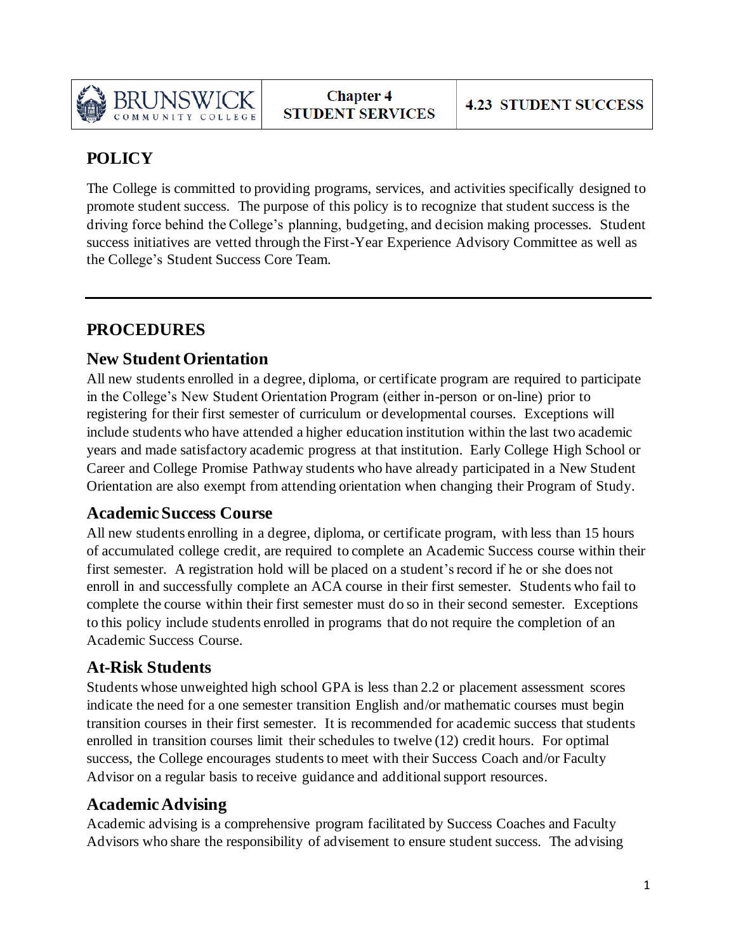

# **POLICY**

The College is committed to providing programs, services, and activities specifically designed to promote student success. The purpose of this policy is to recognize that student success is the driving force behind the College's planning, budgeting, and decision making processes. Student success initiatives are vetted through the First-Year Experience Advisory Committee as well as the College's Student Success Core Team.

## **PROCEDURES**

### **New Student Orientation**

All new students enrolled in a degree, diploma, or certificate program are required to participate in the College's New Student Orientation Program (either in-person or on-line) prior to registering for their first semester of curriculum or developmental courses. Exceptions will include students who have attended a higher education institution within the last two academic years and made satisfactory academic progress at that institution. Early College High School or Career and College Promise Pathway students who have already participated in a New Student Orientation are also exempt from attending orientation when changing their Program of Study.

### **Academic Success Course**

All new students enrolling in a degree, diploma, or certificate program, with less than 15 hours of accumulated college credit, are required to complete an Academic Success course within their first semester. A registration hold will be placed on a student's record if he or she does not enroll in and successfully complete an ACA course in their first semester. Students who fail to complete the course within their first semester must do so in their second semester. Exceptions to this policy include students enrolled in programs that do not require the completion of an Academic Success Course.

### **At-Risk Students**

Students whose unweighted high school GPA is less than 2.2 or placement assessment scores indicate the need for a one semester transition English and/or mathematic courses must begin transition courses in their first semester. It is recommended for academic success that students enrolled in transition courses limit their schedules to twelve (12) credit hours. For optimal success, the College encourages students to meet with their Success Coach and/or Faculty Advisor on a regular basis to receive guidance and additional support resources.

### **Academic Advising**

Academic advising is a comprehensive program facilitated by Success Coaches and Faculty Advisors who share the responsibility of advisement to ensure student success. The advising